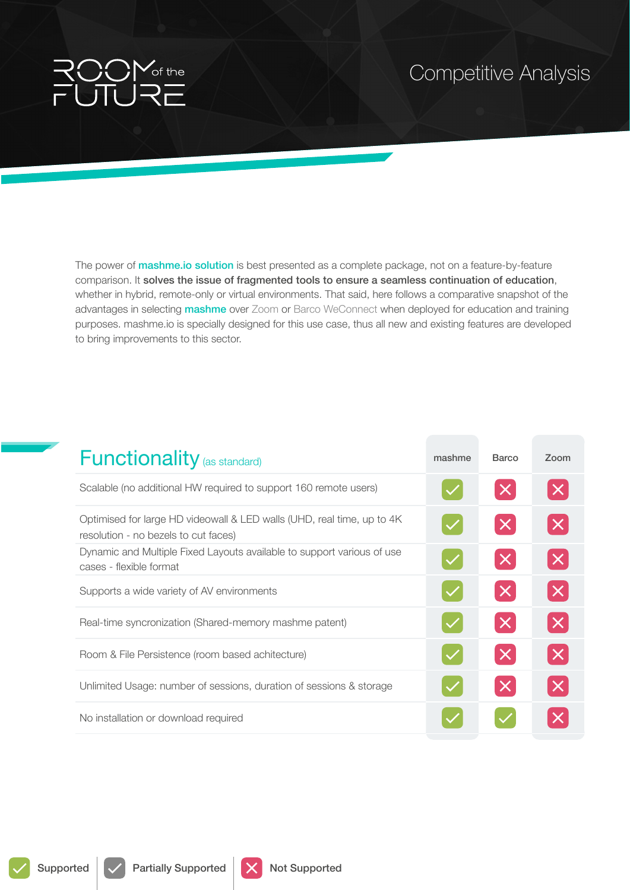## of the

The power of **mashme.io solution** is best presented as a complete package, not on a feature-by-feature comparison. It solves the issue of fragmented tools to ensure a seamless continuation of education, whether in hybrid, remote-only or virtual environments. That said, here follows a comparative snapshot of the advantages in selecting **mashme** over Zoom or Barco WeConnect when deployed for education and training purposes. mashme.io is specially designed for this use case, thus all new and existing features are developed to bring improvements to this sector.

| <b>Functionality</b> (as standard)                                                                              | mashme | <b>Barco</b>            | Zoom     |
|-----------------------------------------------------------------------------------------------------------------|--------|-------------------------|----------|
| Scalable (no additional HW required to support 160 remote users)                                                |        | $ \boldsymbol{\times} $ | $\times$ |
| Optimised for large HD videowall & LED walls (UHD, real time, up to 4K)<br>resolution - no bezels to cut faces) |        | $\times$                | $\times$ |
| Dynamic and Multiple Fixed Layouts available to support various of use<br>cases - flexible format               |        | $\times$                | $\times$ |
| Supports a wide variety of AV environments                                                                      |        | $\times$                | X        |
| Real-time syncronization (Shared-memory mashme patent)                                                          |        | $\times$                | X        |
| Room & File Persistence (room based achitecture)                                                                |        | $\times$                | $\times$ |
| Unlimited Usage: number of sessions, duration of sessions & storage                                             |        | $\times$                | $\times$ |
| No installation or download required                                                                            |        |                         |          |



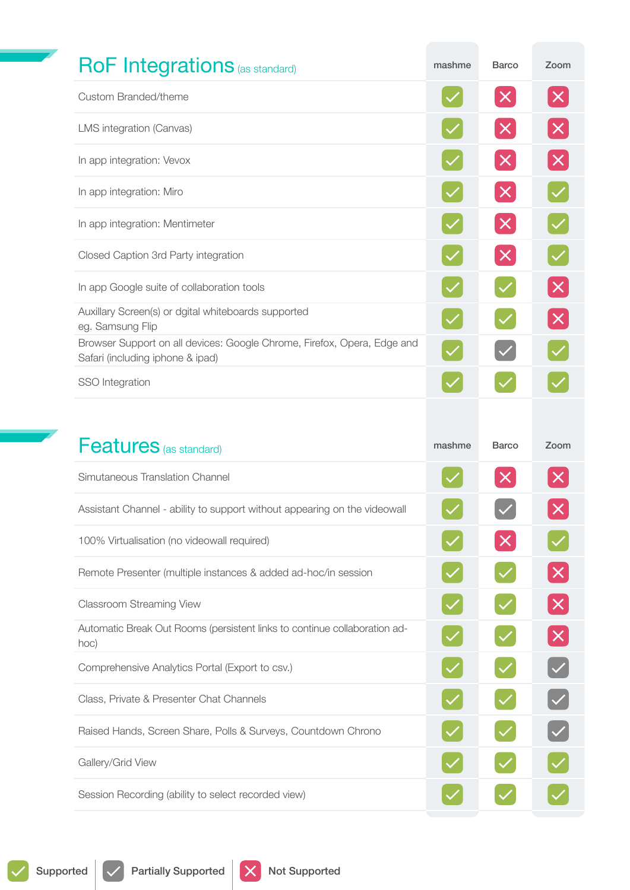| <b>RoF Integrations (as standard)</b>                                                                       | mashme | <b>Barco</b>              | Zoom                        |
|-------------------------------------------------------------------------------------------------------------|--------|---------------------------|-----------------------------|
| Custom Branded/theme                                                                                        |        | $\times$                  | $ \boldsymbol{\mathsf{X}} $ |
| LMS integration (Canvas)                                                                                    |        | $\times$                  | $\boldsymbol{\mathsf{X}}$   |
| In app integration: Vevox                                                                                   |        | $\times$                  | $\boldsymbol{\mathsf{X}}$   |
| In app integration: Miro                                                                                    |        | $\times$                  |                             |
| In app integration: Mentimeter                                                                              |        | $\boldsymbol{\mathsf{X}}$ |                             |
| Closed Caption 3rd Party integration                                                                        |        | $\times$                  |                             |
| In app Google suite of collaboration tools                                                                  |        |                           | $\times$                    |
| Auxillary Screen(s) or dgital whiteboards supported<br>eg. Samsung Flip                                     |        |                           | $\times$                    |
| Browser Support on all devices: Google Chrome, Firefox, Opera, Edge and<br>Safari (including iphone & ipad) |        |                           |                             |
| SSO Integration                                                                                             |        |                           |                             |
|                                                                                                             | mashme | <b>Barco</b>              | Zoom                        |
|                                                                                                             |        |                           |                             |
| <b>Features</b> (as standard)<br>Simutaneous Translation Channel                                            |        | $\times$                  | $ \bm{\mathsf{X}} $         |
| Assistant Channel - ability to support without appearing on the videowall                                   |        |                           |                             |
| 100% Virtualisation (no videowall required)                                                                 |        |                           |                             |
| Remote Presenter (multiple instances & added ad-hoc/in session                                              |        |                           | $ \boldsymbol{\mathsf{X}} $ |
| <b>Classroom Streaming View</b>                                                                             |        |                           | $\times$                    |
| Automatic Break Out Rooms (persistent links to continue collaboration ad-<br>hoc)                           |        |                           | $\boldsymbol{\mathsf{X}}$   |
| Comprehensive Analytics Portal (Export to csv.)                                                             |        |                           |                             |
| Class, Private & Presenter Chat Channels                                                                    |        |                           |                             |
| Raised Hands, Screen Share, Polls & Surveys, Countdown Chrono                                               |        |                           |                             |
| Gallery/Grid View                                                                                           |        |                           |                             |
| Session Recording (ability to select recorded view)                                                         |        |                           |                             |